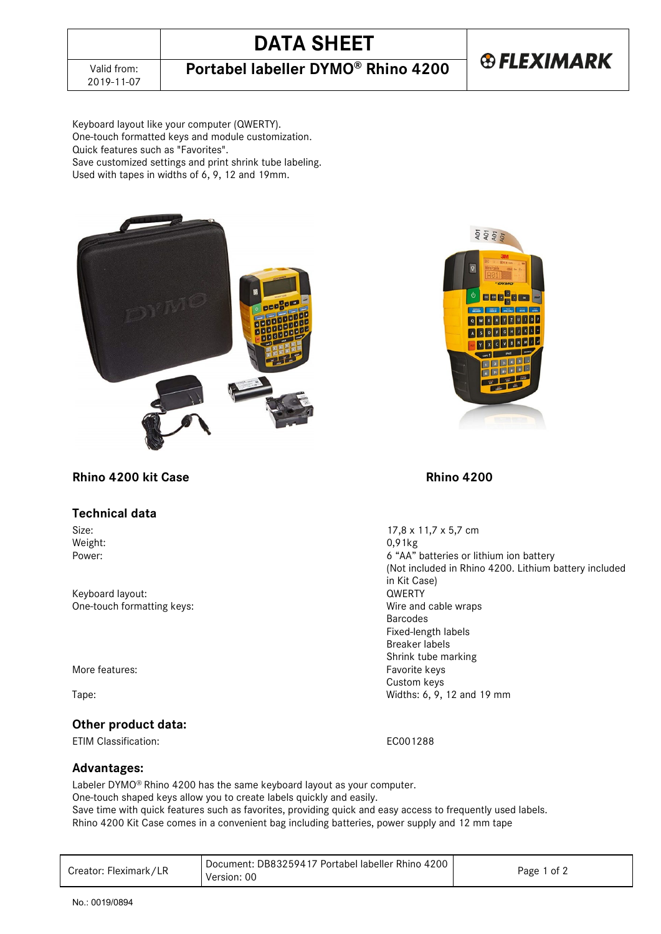**®FLEXIMARK** 

Keyboard layout like your computer (QWERTY). One-touch formatted keys and module customization. Quick features such as "Favorites". Save customized settings and print shrink tube labeling. Used with tapes in widths of 6, 9, 12 and 19mm.





# **Rhino 4200 kit Case Rhino 4200**

### **Technical data**

Weight: 0,91kg<br>Power: 6 (4A)

Keyboard layout: QWERTY One-touch formatting keys:

More features: The contract of the matter of the Favorite keys

# **Other product data:**

ETIM Classification: EC001288

# **Advantages:**

Labeler DYMO® Rhino 4200 has the same keyboard layout as your computer. One-touch shaped keys allow you to create labels quickly and easily. Save time with quick features such as favorites, providing quick and easy access to frequently used labels.

Rhino 4200 Kit Case comes in a convenient bag including batteries, power supply and 12 mm tape

| Creator: Fleximark/LR | Document: DB83259417 Portabel labeller Rhino 4200<br>Version: 00 | Page 1 of 2 |
|-----------------------|------------------------------------------------------------------|-------------|
|-----------------------|------------------------------------------------------------------|-------------|

Size:  $17,8 \times 11,7 \times 5,7$  cm Weight:  $0.91 \text{kg}$ 6 "AA" batteries or lithium ion battery (Not included in Rhino 4200. Lithium battery included in Kit Case) Barcodes Fixed-length labels Breaker labels Shrink tube marking Custom keys Tape: Widths: 6, 9, 12 and 19 mm